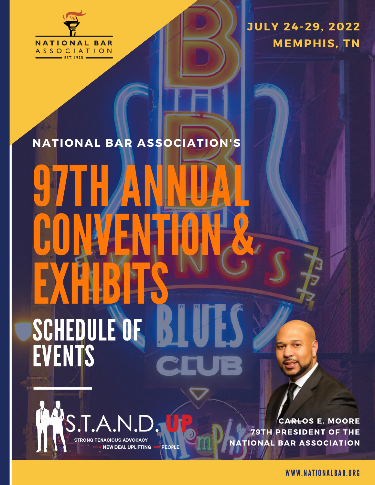

**JULY 24-29, 2022 MEMPHIS, TN**

# **NATIONAL BAR ASSOCIATION'S**

# **97THANNUAL** CONVENTION & EXHBIBIS SCHEDULE OF EVENTS

**STRONG TENACIOUS ADVOCACY** 

**NEW DEAL UPLIFTING** 

**PEOPLE** 

**CARLOS E. MOORE 79TH PRESIDENT OF THE NATIONAL BAR ASSOCIATION**

WWW.NATIONALBAR.ORG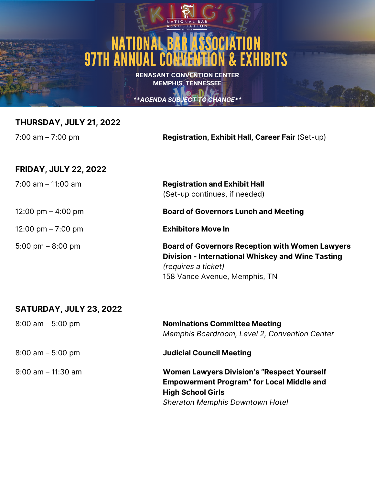# NATIO 97TH ANNUAL CONVENTION & EXHIBITS

**RENASANT CONVENTION CENTER MEMPHIS, TENNESSEE**

#### *\*\*AGENDA SUBJECT TO CHANGE\*\**

#### **THURSDAY, JULY 21, 2022**

7:00 am – 7:00 pm **Registration, Exhibit Hall, Career Fair** (Set-up)

#### **FRIDAY, JULY 22, 2022**

7:00 am – 11:00 am **Registration and Exhibit Hall**

12:00 pm – 7:00 pm

5:00 pm – 8:00 pm

(Set-up continues, if needed)

12:00 pm – 4:00 pm **Board of Governors Lunch and Meeting**

**Exhibitors Move In**

**Board of Governors Reception with Women Lawyers Division - International Whiskey and Wine Tasting** *(requires a ticket)* 158 Vance Avenue, Memphis, TN

#### **SATURDAY, JULY 23, 2022**

8:00 am – 5:00 pm 8:00 am – 5:00 pm 9:00 am – 11:30 am **Nominations Committee Meeting** *Memphis Boardroom, Level 2, Convention Center* **Judicial Council Meeting Women Lawyers Division's "Respect Yourself Empowerment Program" for Local Middle and High School Girls** *Sheraton Memphis Downtown Hotel*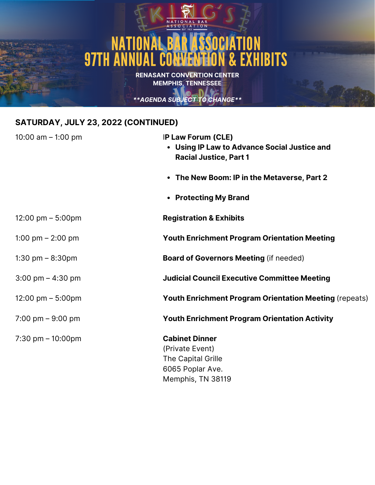# NATIONAL BAR ASSOCIATION **97TH ANNUAL CONVENTION & EXHIBITS**

**RENASANT CONVENTION CENTER MEMPHIS, TENNESSEE**

*\*\*AGENDA SUBJECT TO CHANGE\*\**

#### **SATURDAY, JULY 23, 2022 (CONTINUED)**

| 10:00 am $-$ 1:00 pm                | IP Law Forum (CLE)<br>• Using IP Law to Advance Social Justice and<br><b>Racial Justice, Part 1</b>     |
|-------------------------------------|---------------------------------------------------------------------------------------------------------|
|                                     | • The New Boom: IP in the Metaverse, Part 2                                                             |
|                                     | • Protecting My Brand                                                                                   |
| 12:00 pm $-$ 5:00pm                 | <b>Registration &amp; Exhibits</b>                                                                      |
| 1:00 pm $-$ 2:00 pm                 | <b>Youth Enrichment Program Orientation Meeting</b>                                                     |
| 1:30 pm $-$ 8:30pm                  | <b>Board of Governors Meeting (if needed)</b>                                                           |
| $3:00 \text{ pm} - 4:30 \text{ pm}$ | <b>Judicial Council Executive Committee Meeting</b>                                                     |
| 12:00 pm $-$ 5:00pm                 | <b>Youth Enrichment Program Orientation Meeting (repeats)</b>                                           |
| 7:00 pm $-9:00$ pm                  | <b>Youth Enrichment Program Orientation Activity</b>                                                    |
| $7:30$ pm $-10:00$ pm               | <b>Cabinet Dinner</b><br>(Private Event)<br>The Capital Grille<br>6065 Poplar Ave.<br>Memphis, TN 38119 |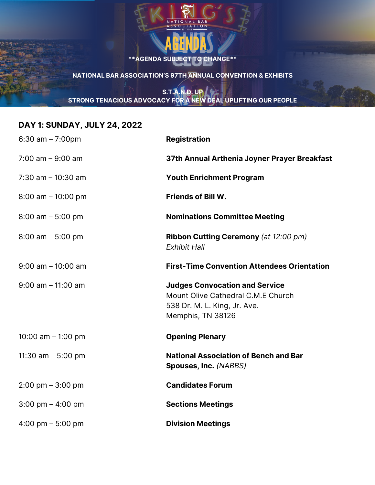

*\*\* SUBJECT TO CHANGE\*\** **NATIONAL BAR ASSOCIATION'S 97TH ANNUAL CONVENTION & EXHIBITS**

#### **S.T.A.N.D. UP STRONG TENACIOUS ADVOCACY FOR A NEW DEAL UPLIFTING OUR PEOPLE**

#### **DAY 1: SUNDAY, JULY 24, 2022**

| $6:30$ am $-7:00$ pm                | <b>Registration</b>                                                                                                              |
|-------------------------------------|----------------------------------------------------------------------------------------------------------------------------------|
| $7:00$ am $-9:00$ am                | 37th Annual Arthenia Joyner Prayer Breakfast                                                                                     |
| $7:30$ am $-10:30$ am               | <b>Youth Enrichment Program</b>                                                                                                  |
| $8:00$ am $-10:00$ pm               | <b>Friends of Bill W.</b>                                                                                                        |
| $8:00$ am $-5:00$ pm                | <b>Nominations Committee Meeting</b>                                                                                             |
| $8:00$ am $-5:00$ pm                | <b>Ribbon Cutting Ceremony (at 12:00 pm)</b><br><b>Exhibit Hall</b>                                                              |
| $9:00$ am $-10:00$ am               | <b>First-Time Convention Attendees Orientation</b>                                                                               |
| $9:00$ am $-11:00$ am               | <b>Judges Convocation and Service</b><br>Mount Olive Cathedral C.M.E Church<br>538 Dr. M. L. King, Jr. Ave.<br>Memphis, TN 38126 |
| 10:00 am $-$ 1:00 pm                | <b>Opening Plenary</b>                                                                                                           |
| 11:30 am $-$ 5:00 pm                | <b>National Association of Bench and Bar</b><br>Spouses, Inc. (NABBS)                                                            |
| $2:00 \text{ pm} - 3:00 \text{ pm}$ | <b>Candidates Forum</b>                                                                                                          |
| $3:00 \text{ pm} - 4:00 \text{ pm}$ | <b>Sections Meetings</b>                                                                                                         |
| 4:00 pm $-$ 5:00 pm                 | <b>Division Meetings</b>                                                                                                         |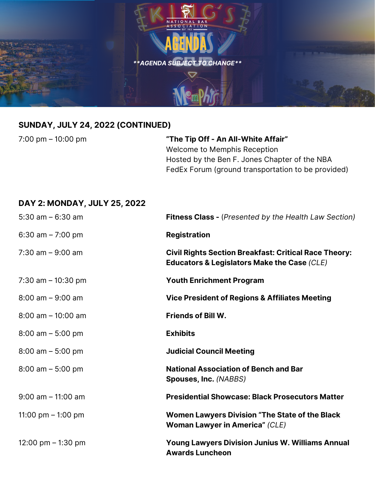

#### **SUNDAY, JULY 24, 2022 (CONTINUED)**

7:00 pm – 10:00 pm

**"The Tip Off - An All-White Affair"** Welcome to Memphis Reception Hosted by the Ben F. Jones Chapter of the NBA FedEx Forum (ground transportation to be provided)

#### **DAY 2: MONDAY, JULY 25, 2022**

| $5:30$ am $-6:30$ am        | <b>Fitness Class - (Presented by the Health Law Section)</b>                                                           |
|-----------------------------|------------------------------------------------------------------------------------------------------------------------|
| 6:30 am $- 7:00 \text{ pm}$ | <b>Registration</b>                                                                                                    |
| $7:30$ am $-9:00$ am        | <b>Civil Rights Section Breakfast: Critical Race Theory:</b><br><b>Educators &amp; Legislators Make the Case (CLE)</b> |
| 7:30 am $-$ 10:30 pm        | <b>Youth Enrichment Program</b>                                                                                        |
| $8:00$ am $-9:00$ am        | <b>Vice President of Regions &amp; Affiliates Meeting</b>                                                              |
| $8:00$ am $-10:00$ am       | <b>Friends of Bill W.</b>                                                                                              |
| $8:00$ am $-5:00$ pm        | <b>Exhibits</b>                                                                                                        |
| $8:00$ am $-5:00$ pm        | <b>Judicial Council Meeting</b>                                                                                        |
| $8:00$ am $-5:00$ pm        | <b>National Association of Bench and Bar</b><br>Spouses, Inc. (NABBS)                                                  |
| $9:00$ am $-11:00$ am       | <b>Presidential Showcase: Black Prosecutors Matter</b>                                                                 |
| 11:00 pm $-$ 1:00 pm        | <b>Women Lawyers Division "The State of the Black</b><br><b>Woman Lawyer in America" (CLE)</b>                         |
| 12:00 pm $-$ 1:30 pm        | <b>Young Lawyers Division Junius W. Williams Annual</b><br><b>Awards Luncheon</b>                                      |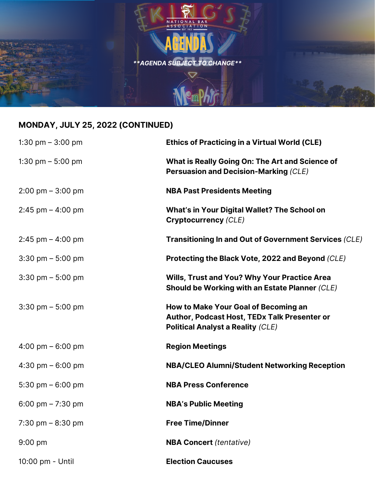

## **MONDAY, JULY 25, 2022 (CONTINUED)**

| 1:30 pm $-$ 3:00 pm                 | <b>Ethics of Practicing in a Virtual World (CLE)</b>                                                                             |
|-------------------------------------|----------------------------------------------------------------------------------------------------------------------------------|
| 1:30 pm $-$ 5:00 pm                 | What is Really Going On: The Art and Science of<br><b>Persuasion and Decision-Marking (CLE)</b>                                  |
| $2:00 \text{ pm} - 3:00 \text{ pm}$ | <b>NBA Past Presidents Meeting</b>                                                                                               |
| $2:45$ pm $-$ 4:00 pm               | What's in Your Digital Wallet? The School on<br><b>Cryptocurrency (CLE)</b>                                                      |
| $2:45$ pm $-4:00$ pm                | <b>Transitioning In and Out of Government Services (CLE)</b>                                                                     |
| $3:30 \text{ pm} - 5:00 \text{ pm}$ | Protecting the Black Vote, 2022 and Beyond (CLE)                                                                                 |
| $3:30 \text{ pm} - 5:00 \text{ pm}$ | <b>Wills, Trust and You? Why Your Practice Area</b><br>Should be Working with an Estate Planner (CLE)                            |
| $3:30$ pm $-5:00$ pm                | How to Make Your Goal of Becoming an<br>Author, Podcast Host, TEDx Talk Presenter or<br><b>Political Analyst a Reality (CLE)</b> |
| 4:00 pm $-6:00$ pm                  | <b>Region Meetings</b>                                                                                                           |
| 4:30 pm $-6:00$ pm                  | <b>NBA/CLEO Alumni/Student Networking Reception</b>                                                                              |
| 5:30 pm $-6:00$ pm                  | <b>NBA Press Conference</b>                                                                                                      |
| 6:00 pm $- 7:30$ pm                 | <b>NBA's Public Meeting</b>                                                                                                      |
| 7:30 pm $-8:30$ pm                  | <b>Free Time/Dinner</b>                                                                                                          |
| $9:00$ pm                           | <b>NBA Concert</b> (tentative)                                                                                                   |
| 10:00 pm - Until                    | <b>Election Caucuses</b>                                                                                                         |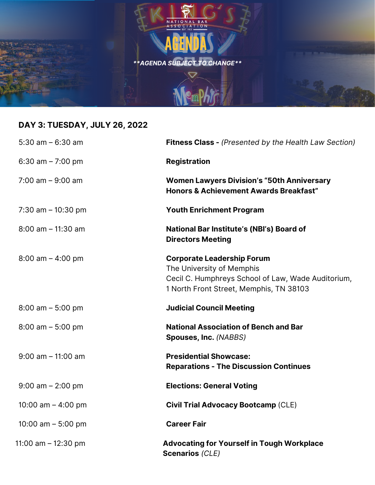

# **DAY 3: TUESDAY, JULY 26, 2022**

| 5:30 am $-6:30$ am    | <b>Fitness Class - (Presented by the Health Law Section)</b>                                                                                                    |
|-----------------------|-----------------------------------------------------------------------------------------------------------------------------------------------------------------|
| 6:30 am $- 7:00$ pm   | <b>Registration</b>                                                                                                                                             |
| $7:00$ am $-9:00$ am  | <b>Women Lawyers Division's "50th Anniversary</b><br><b>Honors &amp; Achievement Awards Breakfast"</b>                                                          |
| 7:30 am $-$ 10:30 pm  | <b>Youth Enrichment Program</b>                                                                                                                                 |
| $8:00$ am $-11:30$ am | National Bar Institute's (NBI's) Board of<br><b>Directors Meeting</b>                                                                                           |
| $8:00$ am $-$ 4:00 pm | <b>Corporate Leadership Forum</b><br>The University of Memphis<br>Cecil C. Humphreys School of Law, Wade Auditorium,<br>1 North Front Street, Memphis, TN 38103 |
| $8:00$ am $-5:00$ pm  | <b>Judicial Council Meeting</b>                                                                                                                                 |
| $8:00$ am $-5:00$ pm  | <b>National Association of Bench and Bar</b><br>Spouses, Inc. (NABBS)                                                                                           |
| $9:00$ am $-11:00$ am | <b>Presidential Showcase:</b><br><b>Reparations - The Discussion Continues</b>                                                                                  |
| $9:00$ am $- 2:00$ pm | <b>Elections: General Voting</b>                                                                                                                                |
| 10:00 am $-$ 4:00 pm  | <b>Civil Trial Advocacy Bootcamp (CLE)</b>                                                                                                                      |
| 10:00 am $-$ 5:00 pm  | <b>Career Fair</b>                                                                                                                                              |
| 11:00 am - 12:30 pm   | <b>Advocating for Yourself in Tough Workplace</b><br><b>Scenarios (CLE)</b>                                                                                     |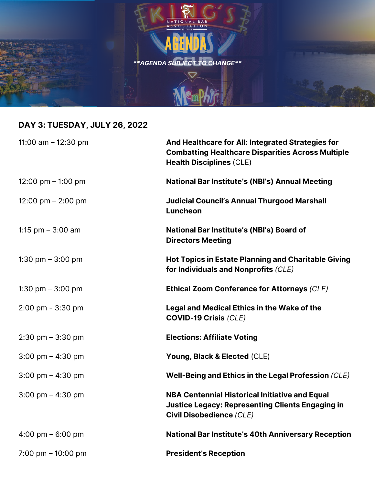

# **DAY 3: TUESDAY, JULY 26, 2022**

| 11:00 am $-$ 12:30 pm               | And Healthcare for All: Integrated Strategies for<br><b>Combatting Healthcare Disparities Across Multiple</b><br><b>Health Disciplines (CLE)</b>    |
|-------------------------------------|-----------------------------------------------------------------------------------------------------------------------------------------------------|
| 12:00 pm $-$ 1:00 pm                | <b>National Bar Institute's (NBI's) Annual Meeting</b>                                                                                              |
| 12:00 pm $-$ 2:00 pm                | <b>Judicial Council's Annual Thurgood Marshall</b><br>Luncheon                                                                                      |
| 1:15 $pm - 3:00$ am                 | National Bar Institute's (NBI's) Board of<br><b>Directors Meeting</b>                                                                               |
| 1:30 pm $-$ 3:00 pm                 | <b>Hot Topics in Estate Planning and Charitable Giving</b><br>for Individuals and Nonprofits (CLE)                                                  |
| 1:30 pm $-$ 3:00 pm                 | <b>Ethical Zoom Conference for Attorneys (CLE)</b>                                                                                                  |
| 2:00 pm - 3:30 pm                   | Legal and Medical Ethics in the Wake of the<br><b>COVID-19 Crisis (CLE)</b>                                                                         |
| $2:30$ pm $-3:30$ pm                | <b>Elections: Affiliate Voting</b>                                                                                                                  |
| $3:00 \text{ pm} - 4:30 \text{ pm}$ | Young, Black & Elected (CLE)                                                                                                                        |
| $3:00 \text{ pm} - 4:30 \text{ pm}$ | Well-Being and Ethics in the Legal Profession (CLE)                                                                                                 |
| $3:00 \text{ pm} - 4:30 \text{ pm}$ | <b>NBA Centennial Historical Initiative and Equal</b><br><b>Justice Legacy: Representing Clients Engaging in</b><br><b>Civil Disobedience (CLE)</b> |
| 4:00 pm $-6:00$ pm                  | National Bar Institute's 40th Anniversary Reception                                                                                                 |
| 7:00 pm $-$ 10:00 pm                | <b>President's Reception</b>                                                                                                                        |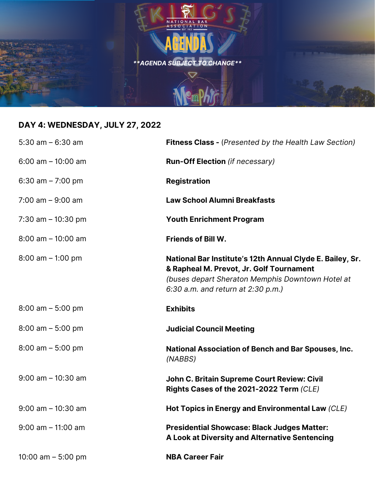

# **DAY 4: WEDNESDAY, JULY 27, 2022**

| $5:30$ am $-6:30$ am  | <b>Fitness Class - (Presented by the Health Law Section)</b>                                                                                                                                    |
|-----------------------|-------------------------------------------------------------------------------------------------------------------------------------------------------------------------------------------------|
| $6:00$ am $-10:00$ am | <b>Run-Off Election</b> (if necessary)                                                                                                                                                          |
| 6:30 am $- 7:00$ pm   | <b>Registration</b>                                                                                                                                                                             |
| $7:00$ am $-9:00$ am  | <b>Law School Alumni Breakfasts</b>                                                                                                                                                             |
| 7:30 am $-$ 10:30 pm  | <b>Youth Enrichment Program</b>                                                                                                                                                                 |
| $8:00$ am $-10:00$ am | <b>Friends of Bill W.</b>                                                                                                                                                                       |
| $8:00$ am $-1:00$ pm  | National Bar Institute's 12th Annual Clyde E. Bailey, Sr.<br>& Rapheal M. Prevot, Jr. Golf Tournament<br>(buses depart Sheraton Memphis Downtown Hotel at<br>6:30 a.m. and return at 2:30 p.m.) |
| $8:00$ am $-5:00$ pm  | <b>Exhibits</b>                                                                                                                                                                                 |
| $8:00$ am $-5:00$ pm  | <b>Judicial Council Meeting</b>                                                                                                                                                                 |
| $8:00$ am $-5:00$ pm  | <b>National Association of Bench and Bar Spouses, Inc.</b><br>(NABBS)                                                                                                                           |
| $9:00$ am $-10:30$ am | John C. Britain Supreme Court Review: Civil<br>Rights Cases of the 2021-2022 Term (CLE)                                                                                                         |
| $9:00$ am $-10:30$ am | Hot Topics in Energy and Environmental Law (CLE)                                                                                                                                                |
| $9:00$ am $-11:00$ am | <b>Presidential Showcase: Black Judges Matter:</b><br>A Look at Diversity and Alternative Sentencing                                                                                            |
| 10:00 am $-$ 5:00 pm  | <b>NBA Career Fair</b>                                                                                                                                                                          |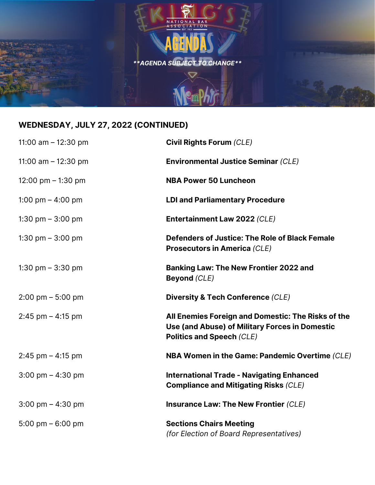

## **WEDNESDAY, JULY 27, 2022 (CONTINUED)**

| 11:00 am $-$ 12:30 pm               | <b>Civil Rights Forum (CLE)</b>                                                                                                          |
|-------------------------------------|------------------------------------------------------------------------------------------------------------------------------------------|
| 11:00 am $-$ 12:30 pm               | <b>Environmental Justice Seminar (CLE)</b>                                                                                               |
| 12:00 pm $-$ 1:30 pm                | <b>NBA Power 50 Luncheon</b>                                                                                                             |
| 1:00 pm $-$ 4:00 pm                 | <b>LDI and Parliamentary Procedure</b>                                                                                                   |
| 1:30 pm $-$ 3:00 pm                 | Entertainment Law 2022 (CLE)                                                                                                             |
| 1:30 pm $-$ 3:00 pm                 | Defenders of Justice: The Role of Black Female<br><b>Prosecutors in America (CLE)</b>                                                    |
| 1:30 pm $-$ 3:30 pm                 | <b>Banking Law: The New Frontier 2022 and</b><br><b>Beyond (CLE)</b>                                                                     |
| $2:00 \text{ pm} - 5:00 \text{ pm}$ | Diversity & Tech Conference (CLE)                                                                                                        |
| $2:45$ pm $- 4:15$ pm               | All Enemies Foreign and Domestic: The Risks of the<br>Use (and Abuse) of Military Forces in Domestic<br><b>Politics and Speech (CLE)</b> |
| $2:45$ pm $-4:15$ pm                | NBA Women in the Game: Pandemic Overtime (CLE)                                                                                           |
| $3:00 \text{ pm} - 4:30 \text{ pm}$ | <b>International Trade - Navigating Enhanced</b><br><b>Compliance and Mitigating Risks (CLE)</b>                                         |
| $3:00 \text{ pm} - 4:30 \text{ pm}$ | <b>Insurance Law: The New Frontier (CLE)</b>                                                                                             |
| 5:00 pm $-$ 6:00 pm                 | <b>Sections Chairs Meeting</b><br>(for Election of Board Representatives)                                                                |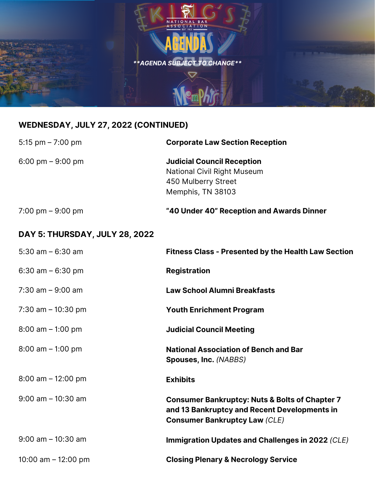

## **WEDNESDAY, JULY 27, 2022 (CONTINUED)**

| 5:15 pm $- 7:00$ pm            | <b>Corporate Law Section Reception</b>                                                                                                            |
|--------------------------------|---------------------------------------------------------------------------------------------------------------------------------------------------|
| 6:00 pm $-9:00$ pm             | <b>Judicial Council Reception</b><br>National Civil Right Museum<br>450 Mulberry Street<br>Memphis, TN 38103                                      |
| 7:00 pm $-9:00$ pm             | "40 Under 40" Reception and Awards Dinner                                                                                                         |
| DAY 5: THURSDAY, JULY 28, 2022 |                                                                                                                                                   |
| 5:30 am $-$ 6:30 am            | <b>Fitness Class - Presented by the Health Law Section</b>                                                                                        |
| 6:30 am $-6:30$ pm             | <b>Registration</b>                                                                                                                               |
| $7:30$ am $-9:00$ am           | <b>Law School Alumni Breakfasts</b>                                                                                                               |
| 7:30 am $-$ 10:30 pm           | <b>Youth Enrichment Program</b>                                                                                                                   |
| $8:00$ am $-1:00$ pm           | <b>Judicial Council Meeting</b>                                                                                                                   |
| $8:00$ am $-1:00$ pm           | <b>National Association of Bench and Bar</b><br>Spouses, Inc. (NABBS)                                                                             |
| $8:00$ am $-12:00$ pm          | <b>Exhibits</b>                                                                                                                                   |
| $9:00$ am $-10:30$ am          | <b>Consumer Bankruptcy: Nuts &amp; Bolts of Chapter 7</b><br>and 13 Bankruptcy and Recent Developments in<br><b>Consumer Bankruptcy Law (CLE)</b> |
| $9:00$ am $-10:30$ am          | Immigration Updates and Challenges in 2022 (CLE)                                                                                                  |
| 10:00 am $-$ 12:00 pm          | <b>Closing Plenary &amp; Necrology Service</b>                                                                                                    |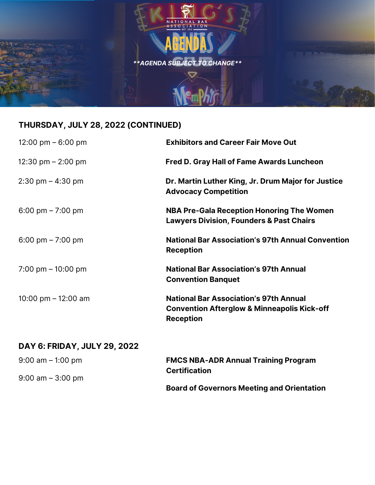

## **THURSDAY, JULY 28, 2022 (CONTINUED)**

| 12:00 pm $-6:00$ pm                 | <b>Exhibitors and Career Fair Move Out</b>                                                                                  |
|-------------------------------------|-----------------------------------------------------------------------------------------------------------------------------|
| 12:30 pm $-$ 2:00 pm                | <b>Fred D. Gray Hall of Fame Awards Luncheon</b>                                                                            |
| $2:30 \text{ pm} - 4:30 \text{ pm}$ | Dr. Martin Luther King, Jr. Drum Major for Justice<br><b>Advocacy Competition</b>                                           |
| 6:00 pm $- 7:00$ pm                 | <b>NBA Pre-Gala Reception Honoring The Women</b><br><b>Lawyers Division, Founders &amp; Past Chairs</b>                     |
| 6:00 pm $- 7:00$ pm                 | <b>National Bar Association's 97th Annual Convention</b><br><b>Reception</b>                                                |
| 7:00 pm $-$ 10:00 pm                | <b>National Bar Association's 97th Annual</b><br><b>Convention Banquet</b>                                                  |
| 10:00 pm $-$ 12:00 am               | <b>National Bar Association's 97th Annual</b><br><b>Convention Afterglow &amp; Minneapolis Kick-off</b><br><b>Reception</b> |

## **DAY 6: FRIDAY, JULY 29, 2022**

| $9:00$ am $-1:00$ pm | <b>FMCS NBA-ADR Annual Training Program</b><br><b>Certification</b> |
|----------------------|---------------------------------------------------------------------|
| $9:00$ am $-3:00$ pm |                                                                     |
|                      | <b>Board of Governors Meeting and Orientation</b>                   |